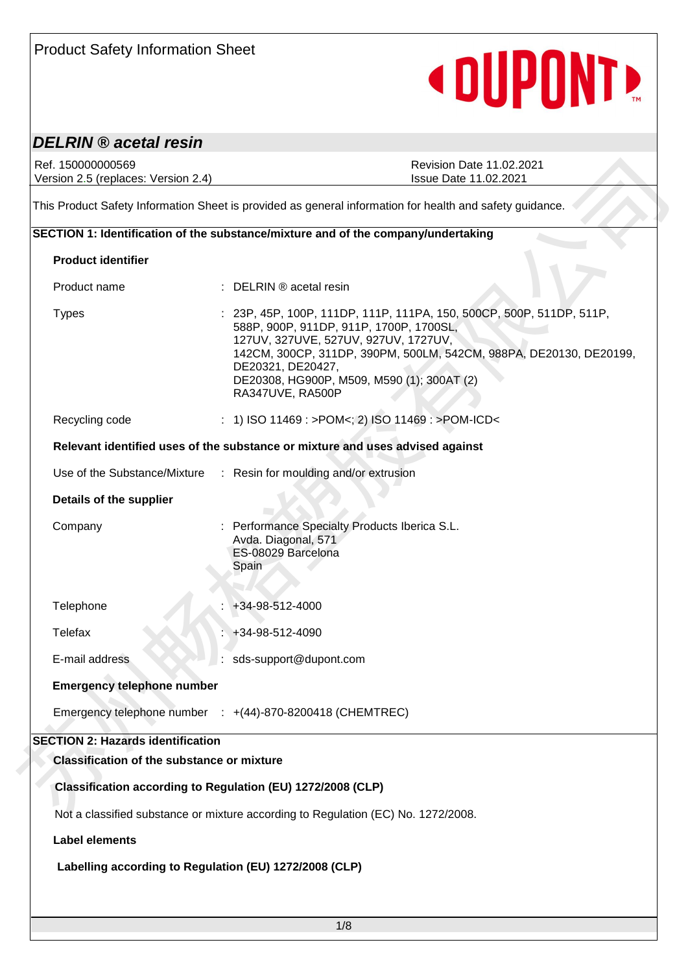| <b>Product Safety Information Sheet</b> |  |  |
|-----------------------------------------|--|--|
|-----------------------------------------|--|--|

# <DUPONT>

### *DELRIN ® acetal resin*

| Ref. 150000000569<br>Version 2.5 (replaces: Version 2.4) | <b>Revision Date 11.02.2021</b><br><b>Issue Date 11.02.2021</b>                                                                                                                                                                                                                                                      |
|----------------------------------------------------------|----------------------------------------------------------------------------------------------------------------------------------------------------------------------------------------------------------------------------------------------------------------------------------------------------------------------|
|                                                          | This Product Safety Information Sheet is provided as general information for health and safety guidance.                                                                                                                                                                                                             |
|                                                          | SECTION 1: Identification of the substance/mixture and of the company/undertaking                                                                                                                                                                                                                                    |
| <b>Product identifier</b>                                |                                                                                                                                                                                                                                                                                                                      |
| Product name                                             | $\therefore$ DELRIN $\circledR$ acetal resin                                                                                                                                                                                                                                                                         |
| <b>Types</b>                                             | : 23P, 45P, 100P, 111DP, 111P, 111PA, 150, 500CP, 500P, 511DP, 511P,<br>588P, 900P, 911DP, 911P, 1700P, 1700SL,<br>127UV, 327UVE, 527UV, 927UV, 1727UV,<br>142CM, 300CP, 311DP, 390PM, 500LM, 542CM, 988PA, DE20130, DE20199,<br>DE20321, DE20427,<br>DE20308, HG900P, M509, M590 (1); 300AT (2)<br>RA347UVE, RA500P |
| Recycling code                                           | : 1) ISO 11469 : >POM<; 2) ISO 11469 : >POM-ICD<                                                                                                                                                                                                                                                                     |
|                                                          | Relevant identified uses of the substance or mixture and uses advised against                                                                                                                                                                                                                                        |
|                                                          | Use of the Substance/Mixture : Resin for moulding and/or extrusion                                                                                                                                                                                                                                                   |
| Details of the supplier                                  |                                                                                                                                                                                                                                                                                                                      |
| Company                                                  | : Performance Specialty Products Iberica S.L.<br>Avda. Diagonal, 571<br>ES-08029 Barcelona<br>Spain                                                                                                                                                                                                                  |
| Telephone                                                | +34-98-512-4000                                                                                                                                                                                                                                                                                                      |
| Telefax                                                  | +34-98-512-4090                                                                                                                                                                                                                                                                                                      |
| E-mail address                                           | : sds-support@dupont.com                                                                                                                                                                                                                                                                                             |
| <b>Emergency telephone number</b>                        |                                                                                                                                                                                                                                                                                                                      |
|                                                          | Emergency telephone number : +(44)-870-8200418 (CHEMTREC)                                                                                                                                                                                                                                                            |
| <b>SECTION 2: Hazards identification</b>                 |                                                                                                                                                                                                                                                                                                                      |
| <b>Classification of the substance or mixture</b>        |                                                                                                                                                                                                                                                                                                                      |
|                                                          | Classification according to Regulation (EU) 1272/2008 (CLP)                                                                                                                                                                                                                                                          |
|                                                          | Not a classified substance or mixture according to Regulation (EC) No. 1272/2008.                                                                                                                                                                                                                                    |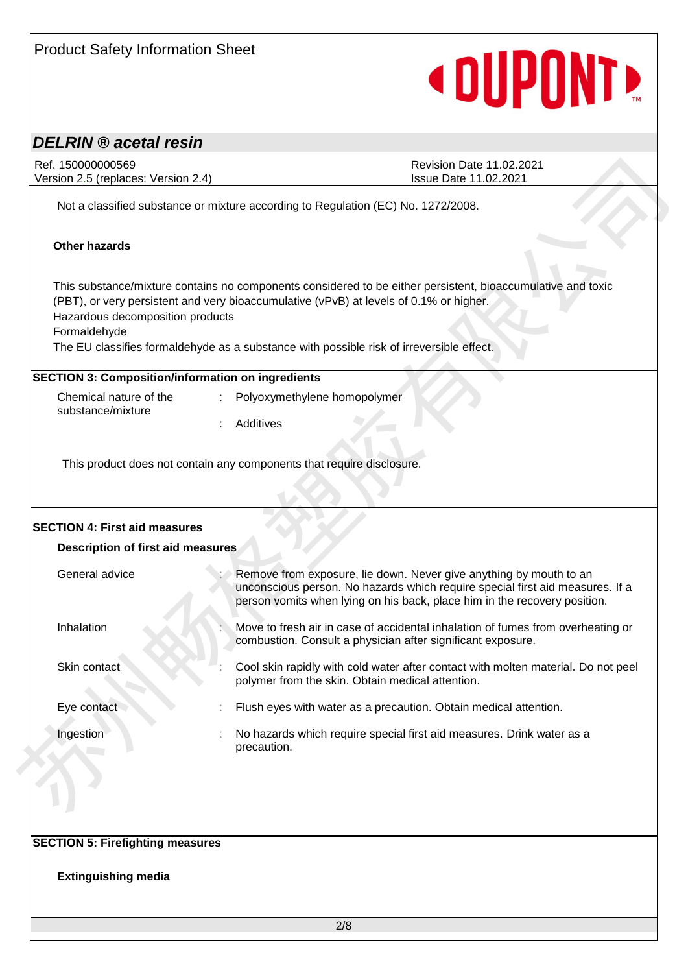| <b>DELRIN</b> ® acetal resin                                                     |                                                                                                                                                                                                                                                                                                   |
|----------------------------------------------------------------------------------|---------------------------------------------------------------------------------------------------------------------------------------------------------------------------------------------------------------------------------------------------------------------------------------------------|
| Ref. 150000000569<br>Version 2.5 (replaces: Version 2.4)                         | <b>Revision Date 11.02.2021</b><br>Issue Date 11.02.2021                                                                                                                                                                                                                                          |
|                                                                                  | Not a classified substance or mixture according to Regulation (EC) No. 1272/2008.                                                                                                                                                                                                                 |
| <b>Other hazards</b>                                                             |                                                                                                                                                                                                                                                                                                   |
| Hazardous decomposition products<br>Formaldehyde                                 | This substance/mixture contains no components considered to be either persistent, bioaccumulative and toxic<br>(PBT), or very persistent and very bioaccumulative (vPvB) at levels of 0.1% or higher.<br>The EU classifies formaldehyde as a substance with possible risk of irreversible effect. |
| <b>SECTION 3: Composition/information on ingredients</b>                         |                                                                                                                                                                                                                                                                                                   |
|                                                                                  |                                                                                                                                                                                                                                                                                                   |
| Chemical nature of the<br>substance/mixture                                      | Polyoxymethylene homopolymer                                                                                                                                                                                                                                                                      |
|                                                                                  | Additives<br>This product does not contain any components that require disclosure.                                                                                                                                                                                                                |
| <b>SECTION 4: First aid measures</b><br><b>Description of first aid measures</b> |                                                                                                                                                                                                                                                                                                   |
| General advice                                                                   | Remove from exposure, lie down. Never give anything by mouth to an<br>unconscious person. No hazards which require special first aid measures. If a<br>person vomits when lying on his back, place him in the recovery position.                                                                  |
| Inhalation                                                                       | Move to fresh air in case of accidental inhalation of fumes from overheating or<br>combustion. Consult a physician after significant exposure.                                                                                                                                                    |
| Skin contact                                                                     | Cool skin rapidly with cold water after contact with molten material. Do not peel<br>polymer from the skin. Obtain medical attention.                                                                                                                                                             |
| Eye contact                                                                      | Flush eyes with water as a precaution. Obtain medical attention.                                                                                                                                                                                                                                  |
| Ingestion                                                                        | No hazards which require special first aid measures. Drink water as a<br>precaution.                                                                                                                                                                                                              |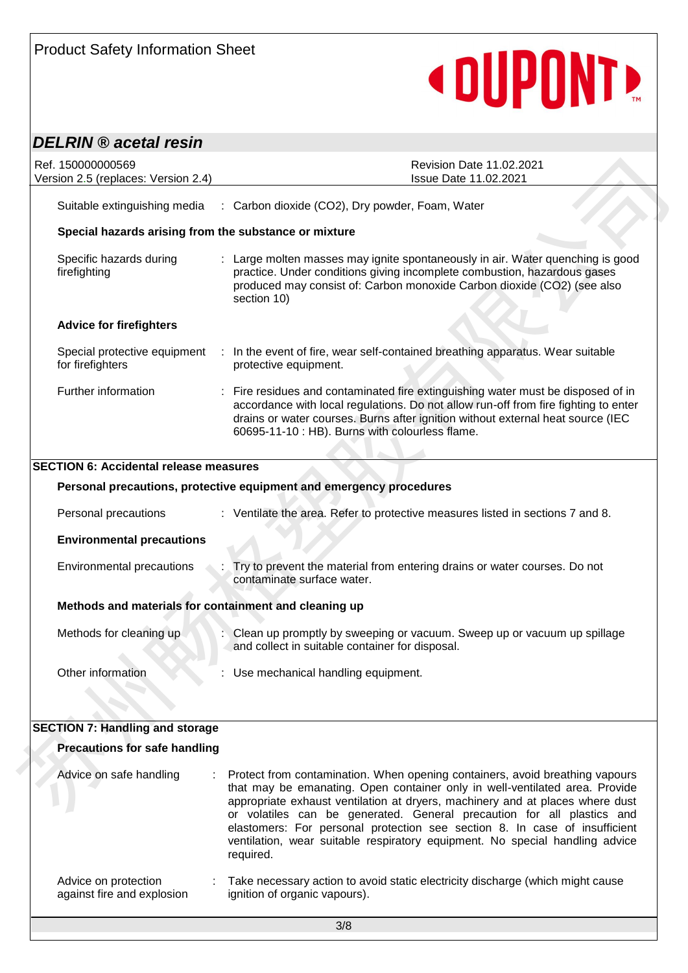# <DUPONT>

## *DELRIN ® acetal resin*

| Ref. 150000000569<br>Version 2.5 (replaces: Version 2.4) | Revision Date 11.02.2021<br>Issue Date 11.02.2021                                                                                                                                                                                                                                                                      |
|----------------------------------------------------------|------------------------------------------------------------------------------------------------------------------------------------------------------------------------------------------------------------------------------------------------------------------------------------------------------------------------|
| Suitable extinguishing media                             | : Carbon dioxide (CO2), Dry powder, Foam, Water                                                                                                                                                                                                                                                                        |
| Special hazards arising from the substance or mixture    |                                                                                                                                                                                                                                                                                                                        |
| Specific hazards during<br>firefighting                  | : Large molten masses may ignite spontaneously in air. Water quenching is good<br>practice. Under conditions giving incomplete combustion, hazardous gases<br>produced may consist of: Carbon monoxide Carbon dioxide (CO2) (see also<br>section 10)                                                                   |
| <b>Advice for firefighters</b>                           |                                                                                                                                                                                                                                                                                                                        |
| for firefighters                                         | Special protective equipment : In the event of fire, wear self-contained breathing apparatus. Wear suitable<br>protective equipment.                                                                                                                                                                                   |
| Further information                                      | : Fire residues and contaminated fire extinguishing water must be disposed of in<br>accordance with local regulations. Do not allow run-off from fire fighting to enter<br>drains or water courses. Burns after ignition without external heat source (IEC<br>60695-11-10 : HB). Burns with colourless flame.          |
|                                                          |                                                                                                                                                                                                                                                                                                                        |
| <b>SECTION 6: Accidental release measures</b>            |                                                                                                                                                                                                                                                                                                                        |
|                                                          | Personal precautions, protective equipment and emergency procedures                                                                                                                                                                                                                                                    |
| Personal precautions                                     | : Ventilate the area. Refer to protective measures listed in sections 7 and 8.                                                                                                                                                                                                                                         |
| <b>Environmental precautions</b>                         |                                                                                                                                                                                                                                                                                                                        |
| Environmental precautions                                | Try to prevent the material from entering drains or water courses. Do not<br>contaminate surface water.                                                                                                                                                                                                                |
| Methods and materials for containment and cleaning up    |                                                                                                                                                                                                                                                                                                                        |
| Methods for cleaning up                                  | Clean up promptly by sweeping or vacuum. Sweep up or vacuum up spillage<br>and collect in suitable container for disposal.                                                                                                                                                                                             |
| Other information                                        | Use mechanical handling equipment.                                                                                                                                                                                                                                                                                     |
|                                                          |                                                                                                                                                                                                                                                                                                                        |
| <b>SECTION 7: Handling and storage</b>                   |                                                                                                                                                                                                                                                                                                                        |
| <b>Precautions for safe handling</b>                     |                                                                                                                                                                                                                                                                                                                        |
| Advice on safe handling                                  | Protect from contamination. When opening containers, avoid breathing vapours<br>that may be emanating. Open container only in well-ventilated area. Provide<br>appropriate exhaust ventilation at dryers, machinery and at places where dust<br>or volatiles can be generated. General precaution for all plastics and |

#### **Precautions for safe handling**

| Advice on safe handling                            | t. | Protect from contamination. When opening containers, avoid breathing vapours<br>that may be emanating. Open container only in well-ventilated area. Provide<br>appropriate exhaust ventilation at dryers, machinery and at places where dust<br>or volatiles can be generated. General precaution for all plastics and<br>elastomers: For personal protection see section 8. In case of insufficient<br>ventilation, wear suitable respiratory equipment. No special handling advice<br>required. |
|----------------------------------------------------|----|---------------------------------------------------------------------------------------------------------------------------------------------------------------------------------------------------------------------------------------------------------------------------------------------------------------------------------------------------------------------------------------------------------------------------------------------------------------------------------------------------|
| Advice on protection<br>against fire and explosion |    | : Take necessary action to avoid static electricity discharge (which might cause<br>ignition of organic vapours).                                                                                                                                                                                                                                                                                                                                                                                 |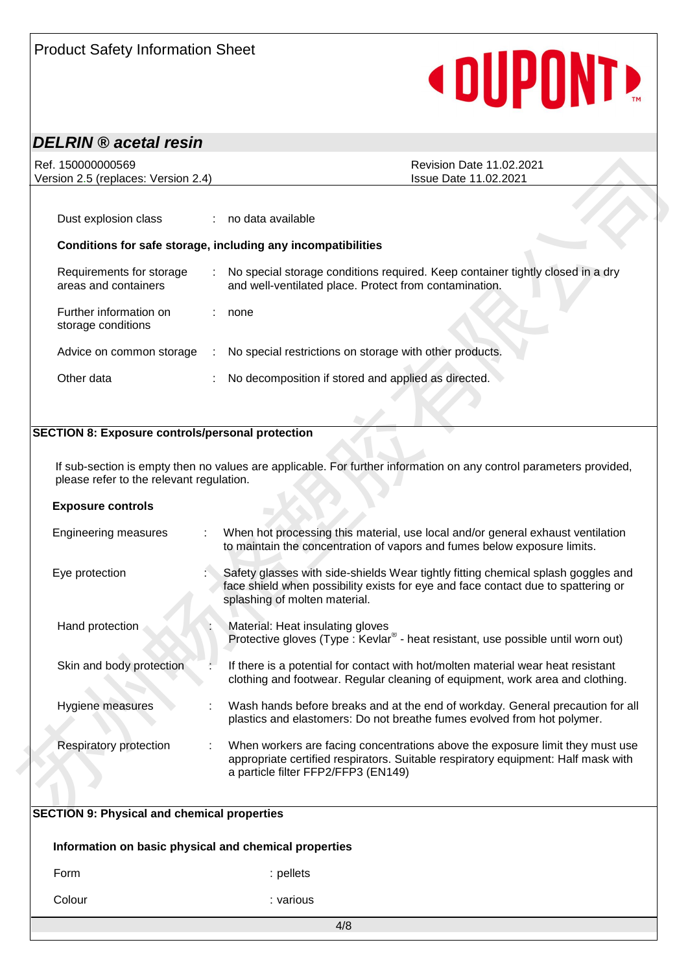# **«DUPONT»**

## *DELRIN ® acetal resin*

| Ref. 150000000569<br>Version 2.5 (replaces: Version 2.4) |                               | <b>Revision Date 11.02.2021</b><br><b>Issue Date 11.02.2021</b>                                                                          |
|----------------------------------------------------------|-------------------------------|------------------------------------------------------------------------------------------------------------------------------------------|
|                                                          |                               |                                                                                                                                          |
| Dust explosion class                                     |                               | : no data available                                                                                                                      |
|                                                          |                               | Conditions for safe storage, including any incompatibilities                                                                             |
| Requirements for storage<br>areas and containers         | $\mathcal{L}^{\mathcal{L}}$ . | No special storage conditions required. Keep container tightly closed in a dry<br>and well-ventilated place. Protect from contamination. |
| Further information on<br>storage conditions             |                               | none                                                                                                                                     |
| Advice on common storage                                 |                               | No special restrictions on storage with other products.                                                                                  |
| Other data                                               |                               | No decomposition if stored and applied as directed.                                                                                      |
|                                                          |                               |                                                                                                                                          |

#### **SECTION 8: Exposure controls/personal protection**

| Version 2.5 (replaces: Version 2.4)                     | <b>Revision Date 11.02.2021</b><br><b>Issue Date 11.02.2021</b>                                                                                                                                                                                                                   |
|---------------------------------------------------------|-----------------------------------------------------------------------------------------------------------------------------------------------------------------------------------------------------------------------------------------------------------------------------------|
|                                                         |                                                                                                                                                                                                                                                                                   |
| Dust explosion class                                    | no data available                                                                                                                                                                                                                                                                 |
|                                                         | Conditions for safe storage, including any incompatibilities                                                                                                                                                                                                                      |
| Requirements for storage<br>areas and containers        | No special storage conditions required. Keep container tightly closed in a dry<br>and well-ventilated place. Protect from contamination.                                                                                                                                          |
| Further information on<br>storage conditions            | none                                                                                                                                                                                                                                                                              |
| Advice on common storage                                | No special restrictions on storage with other products.<br>$\sim 10^6$                                                                                                                                                                                                            |
| Other data                                              | No decomposition if stored and applied as directed.                                                                                                                                                                                                                               |
|                                                         |                                                                                                                                                                                                                                                                                   |
| <b>SECTION 8: Exposure controls/personal protection</b> |                                                                                                                                                                                                                                                                                   |
|                                                         |                                                                                                                                                                                                                                                                                   |
| please refer to the relevant regulation.                |                                                                                                                                                                                                                                                                                   |
| <b>Exposure controls</b>                                |                                                                                                                                                                                                                                                                                   |
| <b>Engineering measures</b>                             | If sub-section is empty then no values are applicable. For further information on any control parameters provided,<br>When hot processing this material, use local and/or general exhaust ventilation<br>to maintain the concentration of vapors and fumes below exposure limits. |
| Eye protection                                          | face shield when possibility exists for eye and face contact due to spattering or<br>splashing of molten material.                                                                                                                                                                |
| Hand protection                                         | Material: Heat insulating gloves<br>Protective gloves (Type: Kevlar® - heat resistant, use possible until worn out)                                                                                                                                                               |
| Skin and body protection                                | Safety glasses with side-shields Wear tightly fitting chemical splash goggles and<br>If there is a potential for contact with hot/molten material wear heat resistant<br>clothing and footwear. Regular cleaning of equipment, work area and clothing.                            |
| Hygiene measures                                        | Wash hands before breaks and at the end of workday. General precaution for all<br>plastics and elastomers: Do not breathe fumes evolved from hot polymer.                                                                                                                         |

# 4/8 **SECTION 9: Physical and chemical properties Information on basic physical and chemical properties** Form : the set of the set of the set of the set of the set of the set of the set of the set of the set of the set of the set of the set of the set of the set of the set of the set of the set of the set of the set of the se Colour : various : various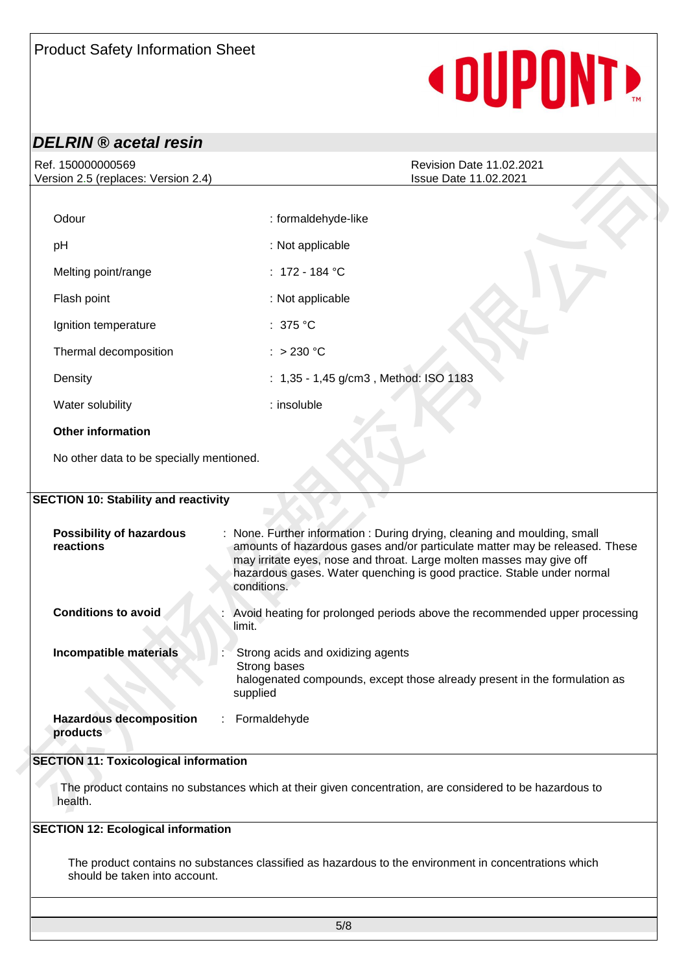# **«DUPONTE**

## *DELRIN ® acetal resin*

| Version 2.5 (replaces: Version 2.4)                                                       | <b>Issue Date 11.02.2021</b>                                                                                                                                                                                                                                                                                              |
|-------------------------------------------------------------------------------------------|---------------------------------------------------------------------------------------------------------------------------------------------------------------------------------------------------------------------------------------------------------------------------------------------------------------------------|
| Odour                                                                                     | : formaldehyde-like                                                                                                                                                                                                                                                                                                       |
| pH                                                                                        | : Not applicable                                                                                                                                                                                                                                                                                                          |
| Melting point/range                                                                       | : $172 - 184$ °C                                                                                                                                                                                                                                                                                                          |
| Flash point                                                                               | : Not applicable                                                                                                                                                                                                                                                                                                          |
| Ignition temperature                                                                      | : $375 °C$                                                                                                                                                                                                                                                                                                                |
| Thermal decomposition                                                                     | $:$ > 230 °C                                                                                                                                                                                                                                                                                                              |
| Density                                                                                   | : 1,35 - 1,45 g/cm3, Method: ISO 1183                                                                                                                                                                                                                                                                                     |
| Water solubility                                                                          | : insoluble                                                                                                                                                                                                                                                                                                               |
| <b>Other information</b>                                                                  |                                                                                                                                                                                                                                                                                                                           |
|                                                                                           |                                                                                                                                                                                                                                                                                                                           |
| <b>Possibility of hazardous</b><br>reactions                                              | : None. Further information : During drying, cleaning and moulding, small<br>amounts of hazardous gases and/or particulate matter may be released. These<br>may irritate eyes, nose and throat. Large molten masses may give off<br>hazardous gases. Water quenching is good practice. Stable under normal<br>conditions. |
| <b>Conditions to avoid</b>                                                                | Avoid heating for prolonged periods above the recommended upper processing<br>limit.                                                                                                                                                                                                                                      |
| <b>Incompatible materials</b>                                                             | Strong acids and oxidizing agents<br>Strong bases<br>halogenated compounds, except those already present in the formulation as<br>supplied                                                                                                                                                                                |
| <b>SECTION 10: Stability and reactivity</b><br><b>Hazardous decomposition</b><br>products | : Formaldehyde                                                                                                                                                                                                                                                                                                            |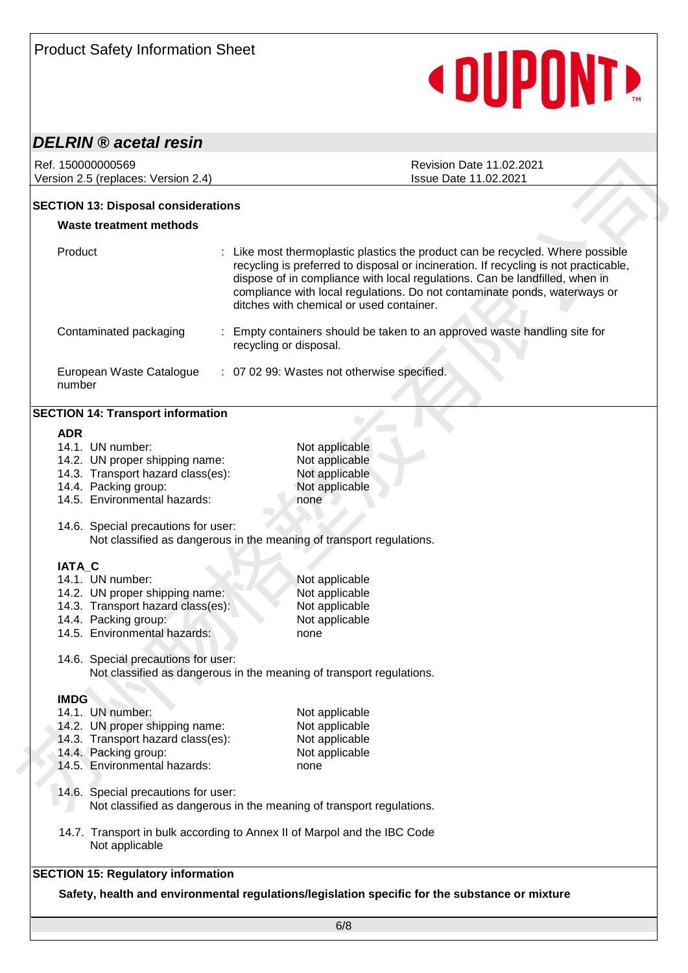# **« DUPONTE**

### *DELRIN ® acetal resin*

#### **SECTION 13: Disposal considerations**

### **Waste treatment methods** Product : Like most thermoplastic plastics the product can be recycled. Where possible recycling is preferred to disposal or incineration. If recycling is not practicable, dispose of in compliance with local regulations. Can be landfilled, when in compliance with local regulations. Do not contaminate ponds, waterways or ditches with chemical or used container. Contaminated packaging : Empty containers should be taken to an approved waste handling site for recycling or disposal. European Waste Catalogue number : 07 02 99: Wastes not otherwise specified.

#### **SECTION 14: Transport information**

#### **ADR**

| Version 2.5 (replaces: Version 2.4)                                 | Ref. 150000000569<br><b>Revision Date 11.02.2021</b><br><b>Issue Date 11.02.2021</b>                                                                                                                                                                                                                                                                                           |  |  |  |
|---------------------------------------------------------------------|--------------------------------------------------------------------------------------------------------------------------------------------------------------------------------------------------------------------------------------------------------------------------------------------------------------------------------------------------------------------------------|--|--|--|
| <b>SECTION 13: Disposal considerations</b>                          |                                                                                                                                                                                                                                                                                                                                                                                |  |  |  |
| <b>Waste treatment methods</b>                                      |                                                                                                                                                                                                                                                                                                                                                                                |  |  |  |
|                                                                     |                                                                                                                                                                                                                                                                                                                                                                                |  |  |  |
| Product                                                             | : Like most thermoplastic plastics the product can be recycled. Where possible<br>recycling is preferred to disposal or incineration. If recycling is not practicable,<br>dispose of in compliance with local regulations. Can be landfilled, when in<br>compliance with local regulations. Do not contaminate ponds, waterways or<br>ditches with chemical or used container. |  |  |  |
| Contaminated packaging                                              | Empty containers should be taken to an approved waste handling site for<br>recycling or disposal.                                                                                                                                                                                                                                                                              |  |  |  |
| European Waste Catalogue<br>number                                  | : 07 02 99: Wastes not otherwise specified.                                                                                                                                                                                                                                                                                                                                    |  |  |  |
| <b>SECTION 14: Transport information</b>                            |                                                                                                                                                                                                                                                                                                                                                                                |  |  |  |
| <b>ADR</b>                                                          |                                                                                                                                                                                                                                                                                                                                                                                |  |  |  |
| 14.1. UN number:                                                    | Not applicable                                                                                                                                                                                                                                                                                                                                                                 |  |  |  |
| 14.2. UN proper shipping name:                                      | Not applicable                                                                                                                                                                                                                                                                                                                                                                 |  |  |  |
| 14.3. Transport hazard class(es):                                   | Not applicable                                                                                                                                                                                                                                                                                                                                                                 |  |  |  |
| 14.4. Packing group:                                                | Not applicable                                                                                                                                                                                                                                                                                                                                                                 |  |  |  |
| 14.5. Environmental hazards:                                        | none                                                                                                                                                                                                                                                                                                                                                                           |  |  |  |
| 14.6. Special precautions for user:                                 | Not classified as dangerous in the meaning of transport regulations.                                                                                                                                                                                                                                                                                                           |  |  |  |
|                                                                     |                                                                                                                                                                                                                                                                                                                                                                                |  |  |  |
| IATA_C                                                              |                                                                                                                                                                                                                                                                                                                                                                                |  |  |  |
| 14.1. UN number:                                                    | Not applicable                                                                                                                                                                                                                                                                                                                                                                 |  |  |  |
| 14.2. UN proper shipping name:<br>14.3. Transport hazard class(es): | Not applicable<br>Not applicable                                                                                                                                                                                                                                                                                                                                               |  |  |  |
| 14.4. Packing group:                                                | Not applicable                                                                                                                                                                                                                                                                                                                                                                 |  |  |  |
| 14.5. Environmental hazards:                                        | none                                                                                                                                                                                                                                                                                                                                                                           |  |  |  |
|                                                                     |                                                                                                                                                                                                                                                                                                                                                                                |  |  |  |
| 14.6. Special precautions for user:                                 | Not classified as dangerous in the meaning of transport regulations.                                                                                                                                                                                                                                                                                                           |  |  |  |
| <b>IMDG</b>                                                         |                                                                                                                                                                                                                                                                                                                                                                                |  |  |  |
| 14.1. UN number:                                                    | Not applicable                                                                                                                                                                                                                                                                                                                                                                 |  |  |  |
| 14.2. UN proper shipping name:                                      | Not applicable                                                                                                                                                                                                                                                                                                                                                                 |  |  |  |
| 14.3. Transport hazard class(es):                                   | Not applicable                                                                                                                                                                                                                                                                                                                                                                 |  |  |  |
| 14.4. Packing group:                                                | Not applicable                                                                                                                                                                                                                                                                                                                                                                 |  |  |  |
| 14.5. Environmental hazards:                                        | none                                                                                                                                                                                                                                                                                                                                                                           |  |  |  |
| 14.6. Special precautions for user:                                 |                                                                                                                                                                                                                                                                                                                                                                                |  |  |  |
|                                                                     | Not classified as dangerous in the meaning of transport regulations.                                                                                                                                                                                                                                                                                                           |  |  |  |
| Not applicable                                                      | 14.7. Transport in bulk according to Annex II of Marpol and the IBC Code                                                                                                                                                                                                                                                                                                       |  |  |  |
| <b>SECTION 15: Regulatory information</b>                           |                                                                                                                                                                                                                                                                                                                                                                                |  |  |  |
|                                                                     | Safety, health and environmental regulations/legislation specific for the substance or mixture                                                                                                                                                                                                                                                                                 |  |  |  |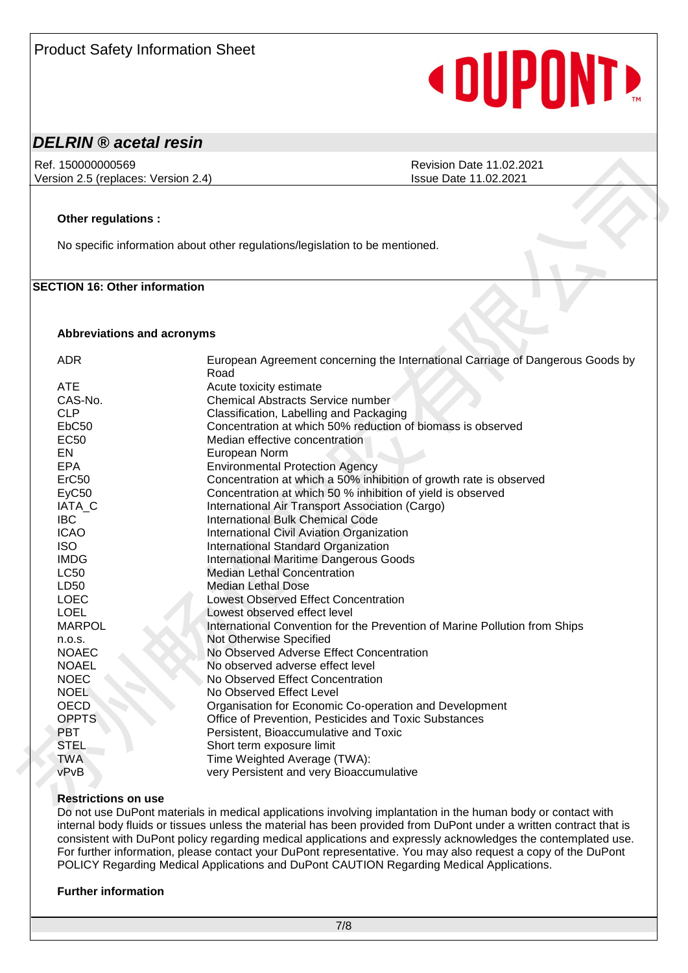# **« DUPONTE**

### *DELRIN ® acetal resin*

#### **Other regulations :**

### **SECTION 16: Other information**

#### **Abbreviations and acronyms**

| Version 2.5 (replaces: Version 2.4)  | <b>Issue Date 11.02.2021</b>                                                           |
|--------------------------------------|----------------------------------------------------------------------------------------|
|                                      |                                                                                        |
| Other regulations :                  |                                                                                        |
|                                      | No specific information about other regulations/legislation to be mentioned.           |
|                                      |                                                                                        |
| <b>SECTION 16: Other information</b> |                                                                                        |
| Abbreviations and acronyms           |                                                                                        |
|                                      |                                                                                        |
| <b>ADR</b>                           | European Agreement concerning the International Carriage of Dangerous Goods by<br>Road |
| <b>ATE</b>                           | Acute toxicity estimate                                                                |
| CAS-No.                              | Chemical Abstracts Service number                                                      |
| <b>CLP</b>                           | Classification, Labelling and Packaging                                                |
| EbC <sub>50</sub>                    | Concentration at which 50% reduction of biomass is observed                            |
| <b>EC50</b>                          | Median effective concentration                                                         |
| EN                                   | European Norm                                                                          |
| <b>EPA</b>                           | <b>Environmental Protection Agency</b>                                                 |
| ErC50                                | Concentration at which a 50% inhibition of growth rate is observed                     |
| EyC <sub>50</sub>                    | Concentration at which 50 % inhibition of yield is observed                            |
| IATA_C                               | International Air Transport Association (Cargo)                                        |
| <b>IBC</b>                           | <b>International Bulk Chemical Code</b>                                                |
| <b>ICAO</b>                          | International Civil Aviation Organization                                              |
| <b>ISO</b>                           | International Standard Organization                                                    |
| <b>IMDG</b>                          | <b>International Maritime Dangerous Goods</b>                                          |
| <b>LC50</b>                          | <b>Median Lethal Concentration</b>                                                     |
| LD50                                 | <b>Median Lethal Dose</b>                                                              |
| <b>LOEC</b>                          | <b>Lowest Observed Effect Concentration</b>                                            |
| <b>LOEL</b>                          | Lowest observed effect level                                                           |
| <b>MARPOL</b>                        | International Convention for the Prevention of Marine Pollution from Ships             |
| n.o.s.                               | Not Otherwise Specified                                                                |
| <b>NOAEC</b>                         | No Observed Adverse Effect Concentration                                               |
| <b>NOAEL</b>                         | No observed adverse effect level                                                       |
| <b>NOEC</b>                          | No Observed Effect Concentration                                                       |
| <b>NOEL</b>                          | No Observed Effect Level                                                               |
| OECD                                 | Organisation for Economic Co-operation and Development                                 |
| <b>OPPTS</b>                         | Office of Prevention, Pesticides and Toxic Substances                                  |
| <b>PBT</b>                           | Persistent, Bioaccumulative and Toxic                                                  |
| <b>STEL</b>                          | Short term exposure limit                                                              |
| <b>TWA</b>                           | Time Weighted Average (TWA):                                                           |
|                                      |                                                                                        |
| vPvB<br><b>Restrictions on use</b>   | very Persistent and very Bioaccumulative                                               |

#### **Restrictions on use**

Do not use DuPont materials in medical applications involving implantation in the human body or contact with internal body fluids or tissues unless the material has been provided from DuPont under a written contract that is consistent with DuPont policy regarding medical applications and expressly acknowledges the contemplated use. For further information, please contact your DuPont representative. You may also request a copy of the DuPont POLICY Regarding Medical Applications and DuPont CAUTION Regarding Medical Applications.

#### **Further information**